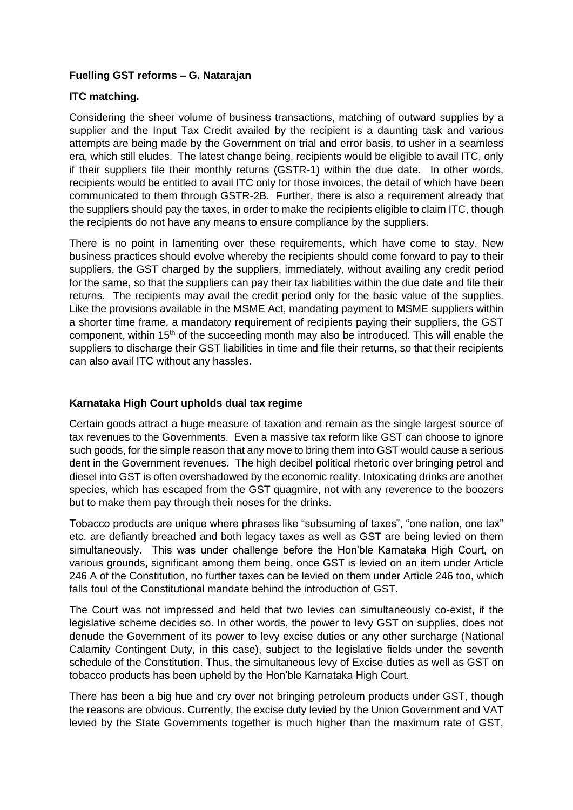#### **Fuelling GST reforms – G. Natarajan**

## **ITC matching.**

Considering the sheer volume of business transactions, matching of outward supplies by a supplier and the Input Tax Credit availed by the recipient is a daunting task and various attempts are being made by the Government on trial and error basis, to usher in a seamless era, which still eludes. The latest change being, recipients would be eligible to avail ITC, only if their suppliers file their monthly returns (GSTR-1) within the due date. In other words, recipients would be entitled to avail ITC only for those invoices, the detail of which have been communicated to them through GSTR-2B. Further, there is also a requirement already that the suppliers should pay the taxes, in order to make the recipients eligible to claim ITC, though the recipients do not have any means to ensure compliance by the suppliers.

There is no point in lamenting over these requirements, which have come to stay. New business practices should evolve whereby the recipients should come forward to pay to their suppliers, the GST charged by the suppliers, immediately, without availing any credit period for the same, so that the suppliers can pay their tax liabilities within the due date and file their returns. The recipients may avail the credit period only for the basic value of the supplies. Like the provisions available in the MSME Act, mandating payment to MSME suppliers within a shorter time frame, a mandatory requirement of recipients paying their suppliers, the GST component, within 15<sup>th</sup> of the succeeding month may also be introduced. This will enable the suppliers to discharge their GST liabilities in time and file their returns, so that their recipients can also avail ITC without any hassles.

## **Karnataka High Court upholds dual tax regime**

Certain goods attract a huge measure of taxation and remain as the single largest source of tax revenues to the Governments. Even a massive tax reform like GST can choose to ignore such goods, for the simple reason that any move to bring them into GST would cause a serious dent in the Government revenues. The high decibel political rhetoric over bringing petrol and diesel into GST is often overshadowed by the economic reality. Intoxicating drinks are another species, which has escaped from the GST quagmire, not with any reverence to the boozers but to make them pay through their noses for the drinks.

Tobacco products are unique where phrases like "subsuming of taxes", "one nation, one tax" etc. are defiantly breached and both legacy taxes as well as GST are being levied on them simultaneously. This was under challenge before the Hon'ble Karnataka High Court, on various grounds, significant among them being, once GST is levied on an item under Article 246 A of the Constitution, no further taxes can be levied on them under Article 246 too, which falls foul of the Constitutional mandate behind the introduction of GST.

The Court was not impressed and held that two levies can simultaneously co-exist, if the legislative scheme decides so. In other words, the power to levy GST on supplies, does not denude the Government of its power to levy excise duties or any other surcharge (National Calamity Contingent Duty, in this case), subject to the legislative fields under the seventh schedule of the Constitution. Thus, the simultaneous levy of Excise duties as well as GST on tobacco products has been upheld by the Hon'ble Karnataka High Court.

There has been a big hue and cry over not bringing petroleum products under GST, though the reasons are obvious. Currently, the excise duty levied by the Union Government and VAT levied by the State Governments together is much higher than the maximum rate of GST,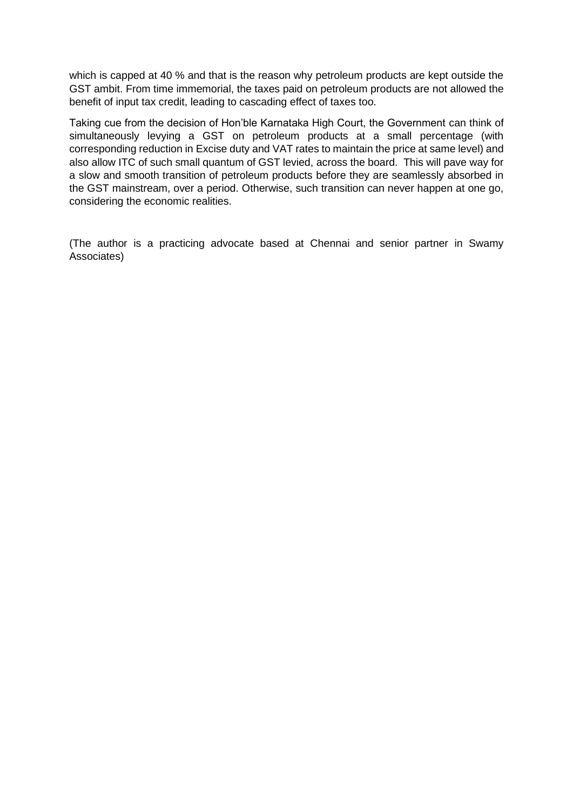which is capped at 40 % and that is the reason why petroleum products are kept outside the GST ambit. From time immemorial, the taxes paid on petroleum products are not allowed the benefit of input tax credit, leading to cascading effect of taxes too.

Taking cue from the decision of Hon'ble Karnataka High Court, the Government can think of simultaneously levying a GST on petroleum products at a small percentage (with corresponding reduction in Excise duty and VAT rates to maintain the price at same level) and also allow ITC of such small quantum of GST levied, across the board. This will pave way for a slow and smooth transition of petroleum products before they are seamlessly absorbed in the GST mainstream, over a period. Otherwise, such transition can never happen at one go, considering the economic realities.

(The author is a practicing advocate based at Chennai and senior partner in Swamy Associates)